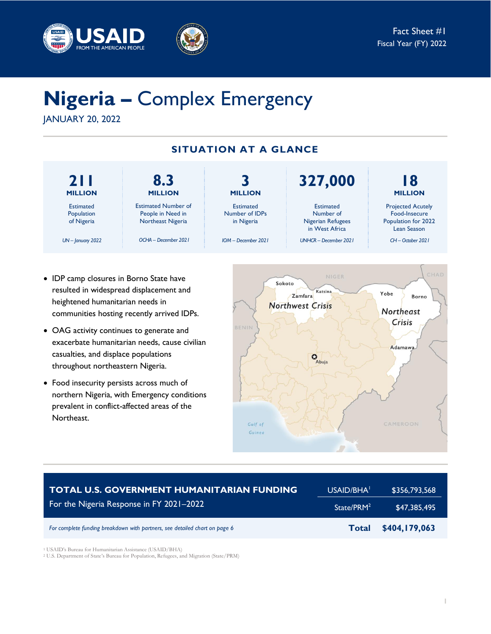



# **Nigeria –** Complex Emergency

JANUARY 20, 2022



- IDP camp closures in Borno State have resulted in widespread displacement and heightened humanitarian needs in communities hosting recently arrived IDPs.
- OAG activity continues to generate and exacerbate humanitarian needs, cause civilian casualties, and displace populations throughout northeastern Nigeria.
- Food insecurity persists across much of northern Nigeria, with Emergency conditions prevalent in conflict-affected areas of the Northeast.



| <b>TOTAL U.S. GOVERNMENT HUMANITARIAN FUNDING</b>                          | USAID/BHA <sup>1</sup> | \$356,793,568 |
|----------------------------------------------------------------------------|------------------------|---------------|
| For the Nigeria Response in FY 2021-2022                                   | State/PRM <sup>2</sup> | \$47.385.495  |
| For complete funding breakdown with partners, see detailed chart on page 6 | <b>Total</b>           | \$404,179,063 |

<sup>1</sup> USAID's Bureau for Humanitarian Assistance (USAID/BHA)

<sup>2</sup> U.S. Department of State's Bureau for Population, Refugees, and Migration (State/PRM)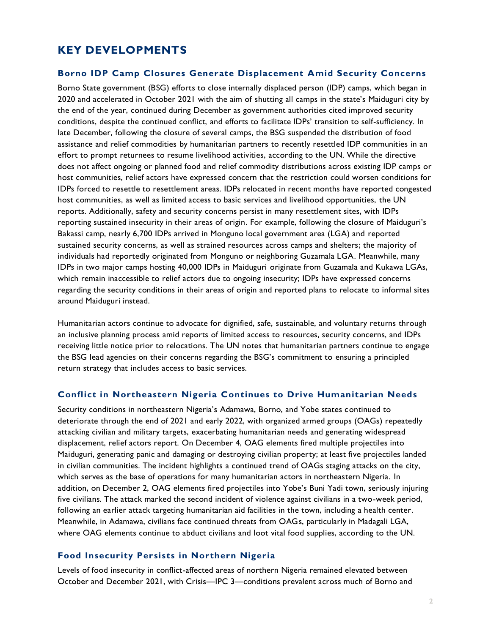# **KEY DEVELOPMENTS**

#### **Borno IDP Camp Closures Generate Displacement Amid Security Concerns**

Borno State government (BSG) efforts to close internally displaced person (IDP) camps, which began in 2020 and accelerated in October 2021 with the aim of shutting all camps in the state's Maiduguri city by the end of the year, continued during December as government authorities cited improved security conditions, despite the continued conflict, and efforts to facilitate IDPs' transition to self-sufficiency. In late December, following the closure of several camps, the BSG suspended the distribution of food assistance and relief commodities by humanitarian partners to recently resettled IDP communities in an effort to prompt returnees to resume livelihood activities, according to the UN. While the directive does not affect ongoing or planned food and relief commodity distributions across existing IDP camps or host communities, relief actors have expressed concern that the restriction could worsen conditions for IDPs forced to resettle to resettlement areas. IDPs relocated in recent months have reported congested host communities, as well as limited access to basic services and livelihood opportunities, the UN reports. Additionally, safety and security concerns persist in many resettlement sites, with IDPs reporting sustained insecurity in their areas of origin. For example, following the closure of Maiduguri's Bakassi camp, nearly 6,700 IDPs arrived in Monguno local government area (LGA) and reported sustained security concerns, as well as strained resources across camps and shelters; the majority of individuals had reportedly originated from Monguno or neighboring Guzamala LGA. Meanwhile, many IDPs in two major camps hosting 40,000 IDPs in Maiduguri originate from Guzamala and Kukawa LGAs, which remain inaccessible to relief actors due to ongoing insecurity; IDPs have expressed concerns regarding the security conditions in their areas of origin and reported plans to relocate to informal sites around Maiduguri instead.

Humanitarian actors continue to advocate for dignified, safe, sustainable, and voluntary returns through an inclusive planning process amid reports of limited access to resources, security concerns, and IDPs receiving little notice prior to relocations. The UN notes that humanitarian partners continue to engage the BSG lead agencies on their concerns regarding the BSG's commitment to ensuring a principled return strategy that includes access to basic services.

#### **Conflict in Northeastern Nigeria Continues to Drive Humanitarian Needs**

Security conditions in northeastern Nigeria's Adamawa, Borno, and Yobe states continued to deteriorate through the end of 2021 and early 2022, with organized armed groups (OAGs) repeatedly attacking civilian and military targets, exacerbating humanitarian needs and generating widespread displacement, relief actors report. On December 4, OAG elements fired multiple projectiles into Maiduguri, generating panic and damaging or destroying civilian property; at least five projectiles landed in civilian communities. The incident highlights a continued trend of OAGs staging attacks on the city, which serves as the base of operations for many humanitarian actors in northeastern Nigeria. In addition, on December 2, OAG elements fired projectiles into Yobe's Buni Yadi town, seriously injuring five civilians. The attack marked the second incident of violence against civilians in a two-week period, following an earlier attack targeting humanitarian aid facilities in the town, including a health center. Meanwhile, in Adamawa, civilians face continued threats from OAGs, particularly in Madagali LGA, where OAG elements continue to abduct civilians and loot vital food supplies, according to the UN.

#### **Food Insecurity Per sists in Northern Nigeria**

Levels of food insecurity in conflict-affected areas of northern Nigeria remained elevated between October and December 2021, with Crisis—IPC 3—conditions prevalent across much of Borno and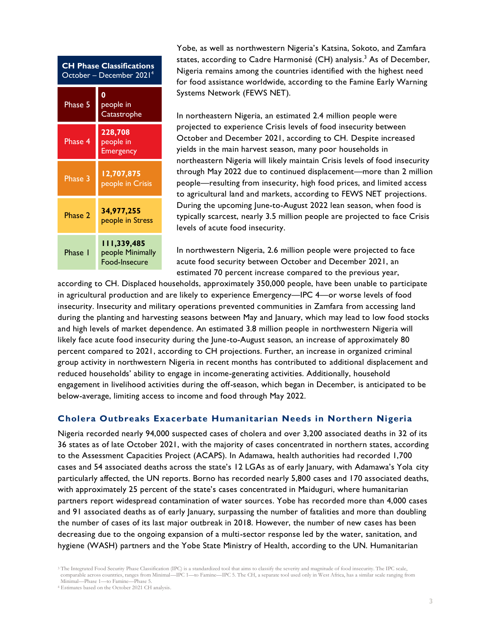| <b>CH Phase Classifications</b><br>October - December 2021 <sup>4</sup> |                                          |  |  |
|-------------------------------------------------------------------------|------------------------------------------|--|--|
| Phase 5                                                                 | 0<br>people in<br>Catastrophe            |  |  |
| Phase 4                                                                 | 228,708<br>people in<br><b>Emergency</b> |  |  |
| Phase 3                                                                 | 12,707,875<br>people in Crisis           |  |  |
| Phase 2                                                                 | 34,977,255<br>people in Stress           |  |  |
| Phase I                                                                 | people Minimally<br>Food-Insecure        |  |  |

Yobe, as well as northwestern Nigeria's Katsina, Sokoto, and Zamfara states, according to Cadre Harmonisé (CH) analysis. <sup>3</sup> As of December, Nigeria remains among the countries identified with the highest need for food assistance worldwide, according to the Famine Early Warning Systems Network (FEWS NET).

In northeastern Nigeria, an estimated 2.4 million people were projected to experience Crisis levels of food insecurity between October and December 2021, according to CH. Despite increased yields in the main harvest season, many poor households in northeastern Nigeria will likely maintain Crisis levels of food insecurity through May 2022 due to continued displacement—more than 2 million people—resulting from insecurity, high food prices, and limited access to agricultural land and markets, according to FEWS NET projections. During the upcoming June-to-August 2022 lean season, when food is typically scarcest, nearly 3.5 million people are projected to face Crisis levels of acute food insecurity.

In northwestern Nigeria, 2.6 million people were projected to face acute food security between October and December 2021, an estimated 70 percent increase compared to the previous year,

according to CH. Displaced households, approximately 350,000 people, have been unable to participate in agricultural production and are likely to experience Emergency—IPC 4—or worse levels of food insecurity. Insecurity and military operations prevented communities in Zamfara from accessing land during the planting and harvesting seasons between May and January, which may lead to low food stocks and high levels of market dependence. An estimated 3.8 million people in northwestern Nigeria will likely face acute food insecurity during the June-to-August season, an increase of approximately 80 percent compared to 2021, according to CH projections. Further, an increase in organized criminal group activity in northwestern Nigeria in recent months has contributed to additional displacement and reduced households' ability to engage in income-generating activities. Additionally, household engagement in livelihood activities during the off-season, which began in December, is anticipated to be below-average, limiting access to income and food through May 2022.

## **Cholera Outbreaks Exacerbate Humanitarian Needs in Northern Nigeria**

Nigeria recorded nearly 94,000 suspected cases of cholera and over 3,200 associated deaths in 32 of its 36 states as of late October 2021, with the majority of cases concentrated in northern states, according to the Assessment Capacities Project (ACAPS). In Adamawa, health authorities had recorded 1,700 cases and 54 associated deaths across the state's 12 LGAs as of early January, with Adamawa's Yola city particularly affected, the UN reports. Borno has recorded nearly 5,800 cases and 170 associated deaths, with approximately 25 percent of the state's cases concentrated in Maiduguri, where humanitarian partners report widespread contamination of water sources. Yobe has recorded more than 4,000 cases and 91 associated deaths as of early January, surpassing the number of fatalities and more than doubling the number of cases of its last major outbreak in 2018. However, the number of new cases has been decreasing due to the ongoing expansion of a multi-sector response led by the water, sanitation, and hygiene (WASH) partners and the Yobe State Ministry of Health, according to the UN. Humanitarian

<sup>3</sup> The Integrated Food Security Phase Classification (IPC) is a standardized tool that aims to classify the severity and magnitude of food insecurity. The IPC scale, comparable across countries, ranges from Minimal—IPC 1—to Famine—IPC 5. The CH, a separate tool used only in West Africa, has a similar scale ranging from Minimal—Phase 1—to Famine—Phase 5.

<sup>4</sup> Estimates based on the October 2021 CH analysis.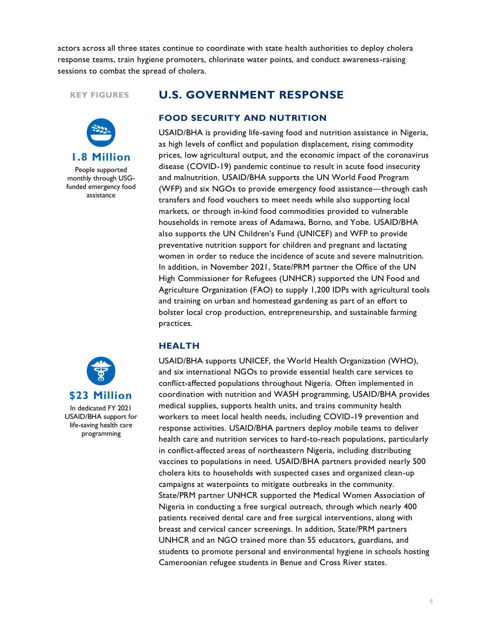actors across all three states continue to coordinate with state health authorities to deploy cholera response teams, train hygiene promoters, chlorinate water points, and conduct awareness-raising sessions to combat the spread of cholera.

#### **KEY FIGURES**



People supported monthly through USGfunded emergency food assistance

## **U.S. GOVERNMENT RESPONSE**

#### **FOOD SECURITY AND NUTRITION**

USAID/BHA is providing life-saving food and nutrition assistance in Nigeria, as high levels of conflict and population displacement, rising commodity prices, low agricultural output, and the economic impact of the coronavirus disease (COVID-19) pandemic continue to result in acute food insecurity and malnutrition. USAID/BHA supports the UN World Food Program (WFP) and six NGOs to provide emergency food assistance—through cash transfers and food vouchers to meet needs while also supporting local markets, or through in-kind food commodities provided to vulnerable households in remote areas of Adamawa, Borno, and Yobe. USAID/BHA also supports the UN Children's Fund (UNICEF) and WFP to provide preventative nutrition support for children and pregnant and lactating women in order to reduce the incidence of acute and severe malnutrition. In addition, in November 2021, State/PRM partner the Office of the UN High Commissioner for Refugees (UNHCR) supported the UN Food and Agriculture Organization (FAO) to supply 1,200 IDPs with agricultural tools and training on urban and homestead gardening as part of an effort to bolster local crop production, entrepreneurship, and sustainable farming practices.

#### **HEALTH**

USAID/BHA supports UNICEF, the World Health Organization (WHO), and six international NGOs to provide essential health care services to conflict-affected populations throughout Nigeria. Often implemented in coordination with nutrition and WASH programming, USAID/BHA provides medical supplies, supports health units, and trains community health workers to meet local health needs, including COVID-19 prevention and response activities. USAID/BHA partners deploy mobile teams to deliver health care and nutrition services to hard-to-reach populations, particularly in conflict-affected areas of northeastern Nigeria, including distributing vaccines to populations in need. USAID/BHA partners provided nearly 500 cholera kits to households with suspected cases and organized clean-up campaigns at waterpoints to mitigate outbreaks in the community. State/PRM partner UNHCR supported the Medical Women Association of Nigeria in conducting a free surgical outreach, through which nearly 400 patients received dental care and free surgical interventions, along with breast and cervical cancer screenings. In addition, State/PRM partners UNHCR and an NGO trained more than 55 educators, guardians, and students to promote personal and environmental hygiene in schools hosting Cameroonian refugee students in Benue and Cross River states.

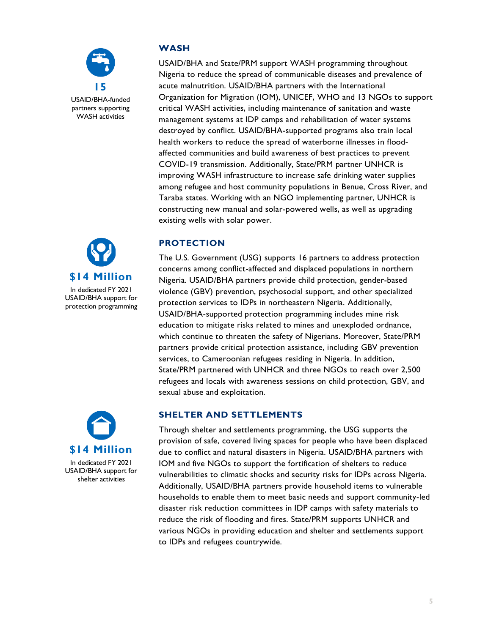





## **WASH**

USAID/BHA and State/PRM support WASH programming throughout Nigeria to reduce the spread of communicable diseases and prevalence of acute malnutrition. USAID/BHA partners with the International Organization for Migration (IOM), UNICEF, WHO and 13 NGOs to support critical WASH activities, including maintenance of sanitation and waste management systems at IDP camps and rehabilitation of water systems destroyed by conflict. USAID/BHA-supported programs also train local health workers to reduce the spread of waterborne illnesses in floodaffected communities and build awareness of best practices to prevent COVID-19 transmission. Additionally, State/PRM partner UNHCR is improving WASH infrastructure to increase safe drinking water supplies among refugee and host community populations in Benue, Cross River, and Taraba states. Working with an NGO implementing partner, UNHCR is constructing new manual and solar-powered wells, as well as upgrading existing wells with solar power.

## **PROTECTION**

The U.S. Government (USG) supports 16 partners to address protection concerns among conflict-affected and displaced populations in northern Nigeria. USAID/BHA partners provide child protection, gender-based violence (GBV) prevention, psychosocial support, and other specialized protection services to IDPs in northeastern Nigeria. Additionally, USAID/BHA-supported protection programming includes mine risk education to mitigate risks related to mines and unexploded ordnance, which continue to threaten the safety of Nigerians. Moreover, State/PRM partners provide critical protection assistance, including GBV prevention services, to Cameroonian refugees residing in Nigeria. In addition, State/PRM partnered with UNHCR and three NGOs to reach over 2,500 refugees and locals with awareness sessions on child protection, GBV, and sexual abuse and exploitation.

## **SHELTER AND SETTLEMENTS**

Through shelter and settlements programming, the USG supports the provision of safe, covered living spaces for people who have been displaced due to conflict and natural disasters in Nigeria. USAID/BHA partners with IOM and five NGOs to support the fortification of shelters to reduce vulnerabilities to climatic shocks and security risks for IDPs across Nigeria. Additionally, USAID/BHA partners provide household items to vulnerable households to enable them to meet basic needs and support community-led disaster risk reduction committees in IDP camps with safety materials to reduce the risk of flooding and fires. State/PRM supports UNHCR and various NGOs in providing education and shelter and settlements support to IDPs and refugees countrywide.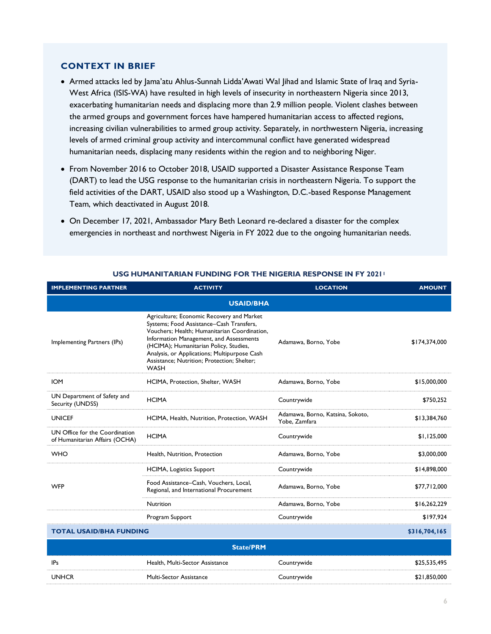#### **CONTEXT IN BRIEF**

- Armed attacks led by Jama'atu Ahlus-Sunnah Lidda'Awati Wal Jihad and Islamic State of Iraq and Syria-West Africa (ISIS-WA) have resulted in high levels of insecurity in northeastern Nigeria since 2013, exacerbating humanitarian needs and displacing more than 2.9 million people. Violent clashes between the armed groups and government forces have hampered humanitarian access to affected regions, increasing civilian vulnerabilities to armed group activity. Separately, in northwestern Nigeria, increasing levels of armed criminal group activity and intercommunal conflict have generated widespread humanitarian needs, displacing many residents within the region and to neighboring Niger.
- From November 2016 to October 2018, USAID supported a Disaster Assistance Response Team (DART) to lead the USG response to the humanitarian crisis in northeastern Nigeria. To support the field activities of the DART, USAID also stood up a Washington, D.C.-based Response Management Team, which deactivated in August 2018.
- On December 17, 2021, Ambassador Mary Beth Leonard re-declared a disaster for the complex emergencies in northeast and northwest Nigeria in FY 2022 due to the ongoing humanitarian needs.

| <b>IMPLEMENTING PARTNER</b>                                      | <b>ACTIVITY</b>                                                                                                                                                                                                                                                                                                                          | <b>LOCATION</b>                                   | <b>AMOUNT</b> |  |
|------------------------------------------------------------------|------------------------------------------------------------------------------------------------------------------------------------------------------------------------------------------------------------------------------------------------------------------------------------------------------------------------------------------|---------------------------------------------------|---------------|--|
| <b>USAID/BHA</b>                                                 |                                                                                                                                                                                                                                                                                                                                          |                                                   |               |  |
| Implementing Partners (IPs)                                      | Agriculture; Economic Recovery and Market<br>Systems; Food Assistance-Cash Transfers,<br>Vouchers; Health; Humanitarian Coordination,<br>Information Management, and Assessments<br>(HCIMA); Humanitarian Policy, Studies,<br>Analysis, or Applications; Multipurpose Cash<br>Assistance; Nutrition; Protection; Shelter;<br><b>WASH</b> | Adamawa, Borno, Yobe                              | \$174,374,000 |  |
| <b>IOM</b>                                                       | HCIMA, Protection, Shelter, WASH                                                                                                                                                                                                                                                                                                         | Adamawa, Borno, Yobe                              | \$15,000,000  |  |
| UN Department of Safety and<br>Security (UNDSS)                  | <b>HCIMA</b>                                                                                                                                                                                                                                                                                                                             | Countrywide                                       | \$750,252     |  |
| <b>UNICEF</b>                                                    | HCIMA, Health, Nutrition, Protection, WASH                                                                                                                                                                                                                                                                                               | Adamawa, Borno, Katsina, Sokoto,<br>Yobe, Zamfara | \$13,384,760  |  |
| UN Office for the Coordination<br>of Humanitarian Affairs (OCHA) | <b>HCIMA</b>                                                                                                                                                                                                                                                                                                                             | Countrywide                                       | \$1,125,000   |  |
| <b>WHO</b>                                                       | Health, Nutrition, Protection                                                                                                                                                                                                                                                                                                            | Adamawa, Borno, Yobe                              | \$3,000,000   |  |
|                                                                  | <b>HCIMA, Logistics Support</b>                                                                                                                                                                                                                                                                                                          | Countrywide                                       | \$14,898,000  |  |
| <b>WFP</b>                                                       | Food Assistance-Cash, Vouchers, Local,<br>Regional, and International Procurement                                                                                                                                                                                                                                                        | Adamawa, Borno, Yobe                              | \$77,712,000  |  |
|                                                                  | Nutrition                                                                                                                                                                                                                                                                                                                                | Adamawa, Borno, Yobe                              | \$16,262,229  |  |
|                                                                  | Program Support                                                                                                                                                                                                                                                                                                                          | Countrywide                                       | \$197,924     |  |
| <b>TOTAL USAID/BHA FUNDING</b>                                   |                                                                                                                                                                                                                                                                                                                                          | \$316,704,165                                     |               |  |
| <b>State/PRM</b>                                                 |                                                                                                                                                                                                                                                                                                                                          |                                                   |               |  |
| <b>IPs</b>                                                       | Health, Multi-Sector Assistance                                                                                                                                                                                                                                                                                                          | Countrywide                                       | \$25,535,495  |  |
| <b>UNHCR</b>                                                     | Multi-Sector Assistance                                                                                                                                                                                                                                                                                                                  | Countrywide                                       | \$21,850,000  |  |

#### **USG HUMANITARIAN FUNDING FOR THE NIGERIA RESPONSE IN FY 2021<sup>1</sup>**